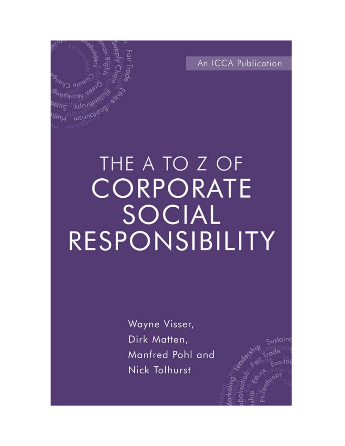

An ICCA Publication

# THE A TO Z OF CORPORATE **SOCIAL** RESPONSIBILITY

Wayne Visser, Dirk Matten, Manfred Pohl and Nick Tolhurst

Sustaind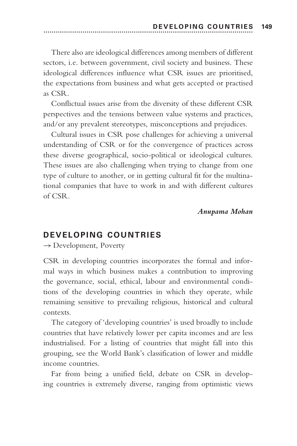There also are ideological differences among members of different sectors, i.e. between government, civil society and business. These ideological differences influence what CSR issues are prioritised, the expectations from business and what gets accepted or practised as CSR.

Conflictual issues arise from the diversity of these different CSR perspectives and the tensions between value systems and practices, and/or any prevalent stereotypes, misconceptions and prejudices.

Cultural issues in CSR pose challenges for achieving a universal understanding of CSR or for the convergence of practices across these diverse geographical, socio-political or ideological cultures. These issues are also challenging when trying to change from one type of culture to another, or in getting cultural fit for the multinational companies that have to work in and with different cultures of CSR.

*Anupama Mohan*

## **DEVELOPING COUNTRIES**

 $\rightarrow$  Development, Poverty

CSR in developing countries incorporates the formal and informal ways in which business makes a contribution to improving the governance, social, ethical, labour and environmental conditions of the developing countries in which they operate, while remaining sensitive to prevailing religious, historical and cultural contexts.

The category of 'developing countries' is used broadly to include countries that have relatively lower per capita incomes and are less industrialised. For a listing of countries that might fall into this grouping, see the World Bank's classification of lower and middle income countries.

Far from being a unified field, debate on CSR in developing countries is extremely diverse, ranging from optimistic views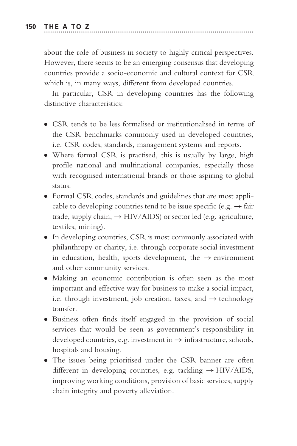about the role of business in society to highly critical perspectives. However, there seems to be an emerging consensus that developing countries provide a socio-economic and cultural context for CSR which is, in many ways, different from developed countries.

In particular, CSR in developing countries has the following distinctive characteristics:

- CSR tends to be less formalised or institutionalised in terms of the CSR benchmarks commonly used in developed countries, i.e. CSR codes, standards, management systems and reports.
- Where formal CSR is practised, this is usually by large, high profile national and multinational companies, especially those with recognised international brands or those aspiring to global status.
- Formal CSR codes, standards and guidelines that are most applicable to developing countries tend to be issue specific (e.g.  $\rightarrow$  fair trade, supply chain,  $\rightarrow$  HIV/AIDS) or sector led (e.g. agriculture, textiles, mining).
- In developing countries, CSR is most commonly associated with philanthropy or charity, i.e. through corporate social investment in education, health, sports development, the  $\rightarrow$  environment and other community services.
- Making an economic contribution is often seen as the most important and effective way for business to make a social impact, i.e. through investment, job creation, taxes, and  $\rightarrow$  technology transfer.
- Business often finds itself engaged in the provision of social services that would be seen as government's responsibility in developed countries, e.g. investment in  $\rightarrow$  infrastructure, schools, hospitals and housing.
- The issues being prioritised under the CSR banner are often different in developing countries, e.g. tackling  $\rightarrow$  HIV/AIDS, improving working conditions, provision of basic services, supply chain integrity and poverty alleviation.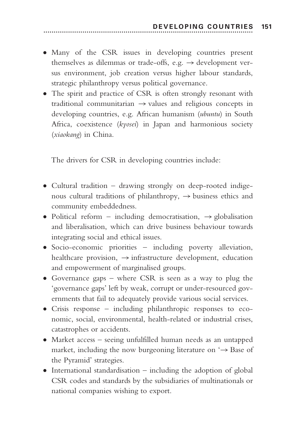- Many of the CSR issues in developing countries present themselves as dilemmas or trade-offs, e.g.  $\rightarrow$  development versus environment, job creation versus higher labour standards, strategic philanthropy versus political governance.
- The spirit and practice of CSR is often strongly resonant with traditional communitarian  $\rightarrow$  values and religious concepts in developing countries, e.g. African humanism (*ubuntu*) in South Africa, coexistence (*kyosei*) in Japan and harmonious society (*xiaokang*) in China.

The drivers for CSR in developing countries include:

- Cultural tradition drawing strongly on deep-rooted indigenous cultural traditions of philanthropy,  $\rightarrow$  business ethics and community embeddedness.
- Political reform including democratisation,  $\rightarrow$  globalisation and liberalisation, which can drive business behaviour towards integrating social and ethical issues.
- Socio-economic priorities including poverty alleviation, healthcare provision,  $\rightarrow$  infrastructure development, education and empowerment of marginalised groups.
- Governance gaps where CSR is seen as a way to plug the 'governance gaps' left by weak, corrupt or under-resourced governments that fail to adequately provide various social services.
- Crisis response including philanthropic responses to economic, social, environmental, health-related or industrial crises, catastrophes or accidents.
- Market access seeing unfulfilled human needs as an untapped market, including the now burgeoning literature on  $\rightarrow$  Base of the Pyramid' strategies.
- International standardisation including the adoption of global CSR codes and standards by the subsidiaries of multinationals or national companies wishing to export.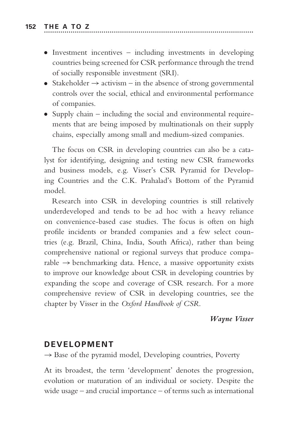- Investment incentives including investments in developing countries being screened for CSR performance through the trend of socially responsible investment (SRI).
- Stakeholder  $\rightarrow$  activism in the absence of strong governmental controls over the social, ethical and environmental performance of companies.
- Supply chain including the social and environmental requirements that are being imposed by multinationals on their supply chains, especially among small and medium-sized companies.

The focus on CSR in developing countries can also be a catalyst for identifying, designing and testing new CSR frameworks and business models, e.g. Visser's CSR Pyramid for Developing Countries and the C.K. Prahalad's Bottom of the Pyramid model.

Research into CSR in developing countries is still relatively underdeveloped and tends to be ad hoc with a heavy reliance on convenience-based case studies. The focus is often on high profile incidents or branded companies and a few select countries (e.g. Brazil, China, India, South Africa), rather than being comprehensive national or regional surveys that produce comparable  $\rightarrow$  benchmarking data. Hence, a massive opportunity exists to improve our knowledge about CSR in developing countries by expanding the scope and coverage of CSR research. For a more comprehensive review of CSR in developing countries, see the chapter by Visser in the *Oxford Handbook of CSR*.

#### *Wayne Visser*

#### **DEVELOPMENT**

 $\rightarrow$  Base of the pyramid model, Developing countries, Poverty

At its broadest, the term 'development' denotes the progression, evolution or maturation of an individual or society. Despite the wide usage – and crucial importance – of terms such as international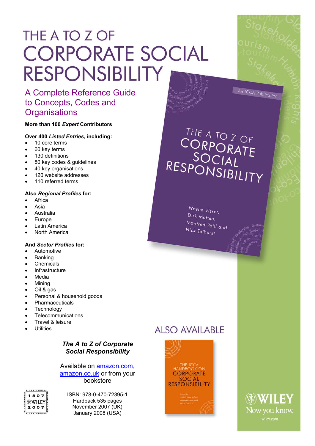# THE A TO Z OF **CORPORATE SOCIAL RESPONSIBILITY**

# A Complete Reference Guide to Concepts, Codes and **Organisations**

# **More than 100** *Expert* **Contributors**

# **Over 400** *Listed Entries***, including:**

- 10 core terms
- 60 key terms
- 130 definitions
- 80 key codes & guidelines
- 40 key organisations
- 120 website addresses
- 110 referred terms

## **Also** *Regional Profiles* **for:**

- Africa
- Asia
- Australia
- **Europe**
- **Latin America**
- North America

### **And** *Sector Profiles* **for:**

- Automotive
- **Banking**
- **Chemicals**
- **Infrastructure**
- **Media**
- Mining
- Oil & gas
- Personal & household goods
- **Pharmaceuticals**
- **Technology**
- **Telecommunications**
- Travel & leisure
- Utilities

*The A to Z of Corporate Social Responsibility*

Available on [amazon.com](http://www.amazon.com/Corporate-Social-Responsibility-Reference-Organisations/dp/0470723955/ref=sr_1_1?ie=UTF8&s=books&qid=1196180047&sr=8-1), [amazon.co.uk](http://www.amazon.co.uk/Corporate-Social-Responsibility-Reference-Organisations/dp/0470723955/ref=sr_1_1/026-8293862-9927603?ie=UTF8&s=books&qid=1188993328&sr=8-1) or from your bookstore

CENTENNIA 1807 **WILEY** 2007 . . . . . <del>.</del> . . . . . .

ISBN: 978-0-470-72395-1 Hardback 535 pages November 2007 (UK) January 2008 (USA)

# **ALSO AVAILABLE**

**CORPORATE SOCIAL RESPONSIBILITY** 



THE A TO Z OF<br>CORPORATE<br>SOCIAL<br>RESPONSIBILITY

An ICCA Publication

Wayne Visser, Dirk Matten, Manfred Pohl and<br>Nick T. . Nick Tolhurst